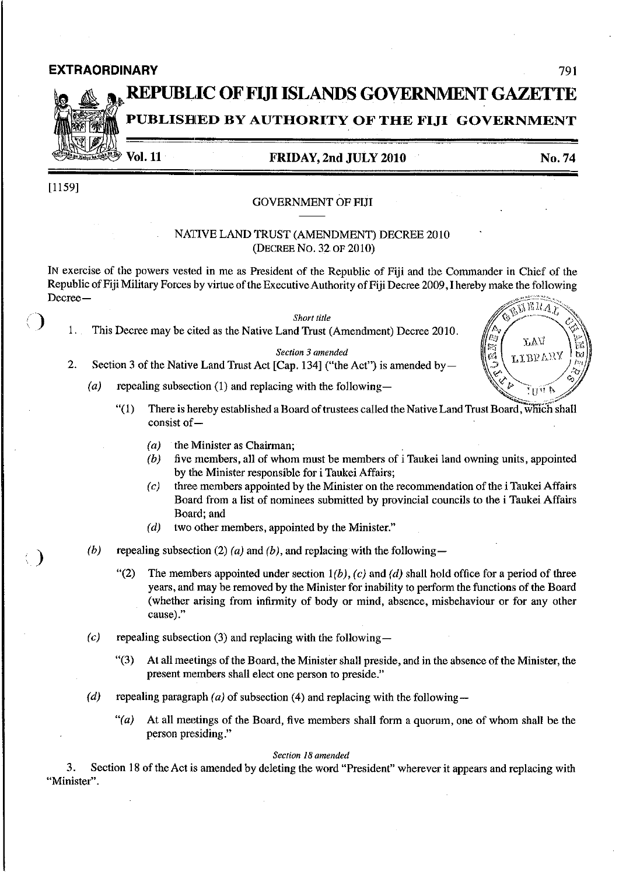### **EXTRAORDINARY** 791

# **REPUBl.IC OFFUI ISLANDS GOVERNMENT GAZETTE PUBLISHED BY AUTHORITY OF THE FIJI GOVERNMENT**

**Vol. 11** 

# **FRIDAY, 2nd JULY 2010**

**No.74** 

[1159]

 $\left(\begin{array}{c}\right)$ 

)

#### GOVERNMENT OF FUI

## NATIVE LAND TRUST (AMENDMENT) DECREE 2010 (DECREE No. 32 OF 2010)

IN exercise of the powers vested in me as President of the Republic of Fiji and the Commander in Chief of the Republic of Fiji Military Forces by virtue of the Executive Authority of Fiji Decree 2009, I hereby make the following Decree-MERA)



- $(a)$ repealing subsection (1) and replacing with the following—
- ß. LAV **TIBEVAR**  $62\,$ रापुरा स
- $(1)$ There is hereby established a Board of trustees called the Native Land Trust Board, which shall consist of -
	- $(a)$  the Minister as Chairman;
	- $(b)$  five members, all of whom must be members of i Taukei land owning units, appointed by the Minister responsible for i Taukei Affairs;
	- $(c)$  three members appointed by the Minister on the recommendation of the i Taukei Affairs Board from a list of nominees submitted by provincial councils to the i Taukei Affairs Board; and
	- $(d)$  two other members, appointed by the Minister."
- (b) repealing subsection (2) (a) and (b), and replacing with the following-
	- "(2) The members appointed under section  $1(b)$ , (c) and (d) shall hold office for a period of three years, and may be removed by the Minister for inability to perform the functions of the Board (whether arising from infirmity of body or mind, absence, misbehaviour or for any other **cause)."**
- (c) repealing subsection (3) and replacing with the following-
	- "(3) At all meetings of the Board, the Minister shall preside, and in the absence of the Minister, the present members shall elect one person to preside."
- (d) repealing paragraph (a) of subsection (4) and replacing with the following-
	- $''(a)$  At all meetings of the Board, five members shall form a quorum, one of whom shall be the person presiding."

#### *Section 18 amended*

3. Section 18 of the Act is amended by deleting the word "President" wherever it appears and replacing with **"Minister".**